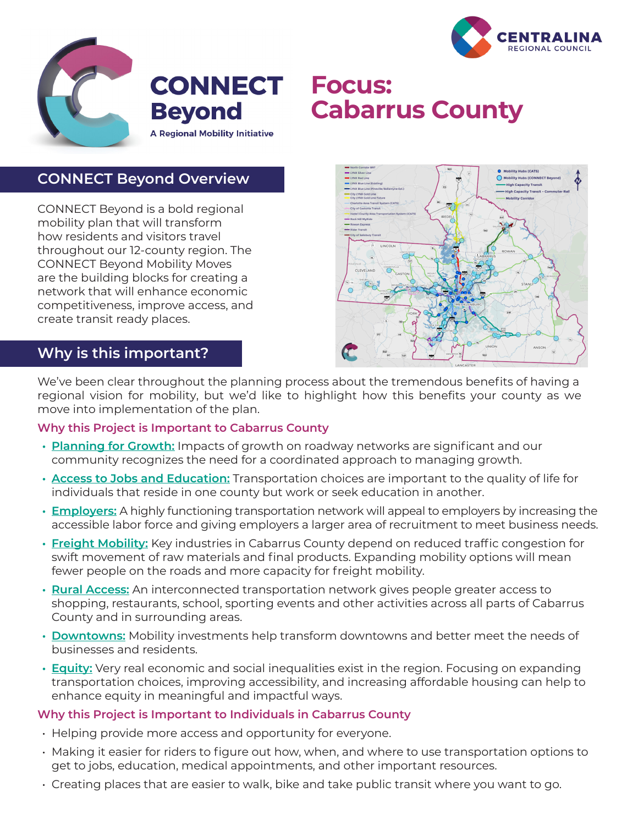



# **Cabarrus County**

## **CONNECT Beyond Overview**

CONNECT Beyond is a bold regional mobility plan that will transform how residents and visitors travel throughout our 12-county region. The CONNECT Beyond Mobility Moves are the building blocks for creating a network that will enhance economic competitiveness, improve access, and create transit ready places.



## **Why is this important?**

We've been clear throughout the planning process about the tremendous benefits of having a regional vision for mobility, but we'd like to highlight how this benefits your county as we move into implementation of the plan.

### **Why this Project is Important to Cabarrus County**

- **• Planning for Growth:** Impacts of growth on roadway networks are significant and our community recognizes the need for a coordinated approach to managing growth.
- **• Access to Jobs and Education:** Transportation choices are important to the quality of life for individuals that reside in one county but work or seek education in another.
- **• Employers:** A highly functioning transportation network will appeal to employers by increasing the accessible labor force and giving employers a larger area of recruitment to meet business needs.
- **• Freight Mobility:** Key industries in Cabarrus County depend on reduced traffic congestion for swift movement of raw materials and final products. Expanding mobility options will mean fewer people on the roads and more capacity for freight mobility.
- **• Rural Access:** An interconnected transportation network gives people greater access to shopping, restaurants, school, sporting events and other activities across all parts of Cabarrus County and in surrounding areas.
- **• Downtowns:** Mobility investments help transform downtowns and better meet the needs of businesses and residents.
- **• Equity:** Very real economic and social inequalities exist in the region. Focusing on expanding transportation choices, improving accessibility, and increasing affordable housing can help to enhance equity in meaningful and impactful ways.

### **Why this Project is Important to Individuals in Cabarrus County**

- Helping provide more access and opportunity for everyone.
- Making it easier for riders to figure out how, when, and where to use transportation options to get to jobs, education, medical appointments, and other important resources.
- Creating places that are easier to walk, bike and take public transit where you want to go.